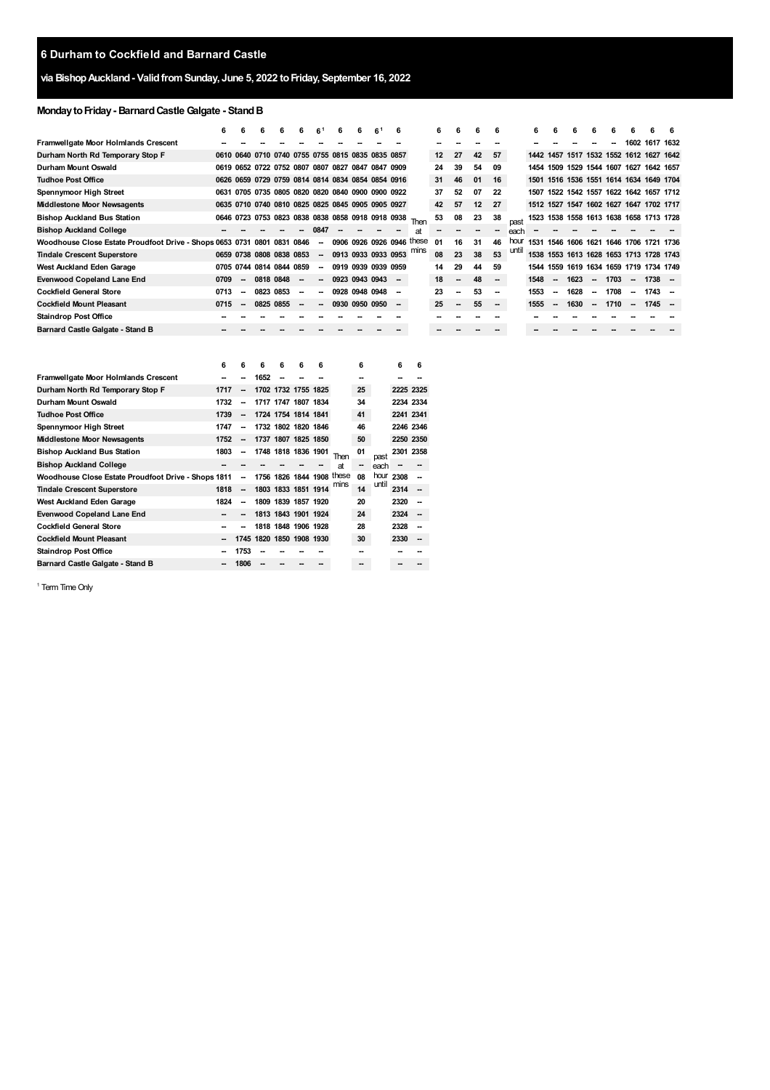# **via BishopAuckland- ValidfromSunday, June 5, 2022 toFriday, September 16, 2022**

**-- --** **1753 1806** **-- --** **-- --** **-- --**

# **MondaytoFriday- BarnardCastleGalgate - StandB**

|                                                                         | 6    |                          |      |                                                   |                          |        |       |                |                     |                           |                          | 6  | 6  | 6  | 6                        |       |      |                          |      |                          |                                         |                          |           | 6      |
|-------------------------------------------------------------------------|------|--------------------------|------|---------------------------------------------------|--------------------------|--------|-------|----------------|---------------------|---------------------------|--------------------------|----|----|----|--------------------------|-------|------|--------------------------|------|--------------------------|-----------------------------------------|--------------------------|-----------|--------|
| Framwellgate Moor Holmlands Crescent                                    |      |                          |      |                                                   |                          |        |       |                |                     |                           |                          |    |    |    |                          |       |      |                          |      |                          |                                         | 1602                     | 1617 1632 |        |
| Durham North Rd Temporary Stop F                                        | 0610 |                          |      | 0640 0710 0740 0755 0755 0815 0835 0835 0857      |                          |        |       |                |                     |                           |                          | 12 | 27 | 42 | 57                       |       | 1442 |                          |      |                          | 1457 1517 1532 1552 1612 1627 1642      |                          |           |        |
| Durham Mount Oswald                                                     |      |                          |      | 0619 0652 0722 0752 0807 0807 0827 0847 0847 0909 |                          |        |       |                |                     |                           |                          | 24 | 39 | 54 | 09                       |       |      |                          |      |                          | 1454 1509 1529 1544 1607 1627 1642 1657 |                          |           |        |
| <b>Tudhoe Post Office</b>                                               |      |                          |      | 0626 0659 0729 0759 0814 0814 0834 0854 0854 0916 |                          |        |       |                |                     |                           |                          | 31 | 46 | 01 | 16                       |       |      |                          |      |                          | 1501 1516 1536 1551 1614 1634 1649 1704 |                          |           |        |
| Spennymoor High Street                                                  |      |                          |      | 0631 0705 0735 0805 0820 0820 0840 0900 0900 0922 |                          |        |       |                |                     |                           |                          | 37 | 52 | 07 | 22                       |       |      |                          |      |                          | 1507 1522 1542 1557 1622 1642 1657 1712 |                          |           |        |
| <b>Middlestone Moor Newsagents</b>                                      |      |                          |      | 0635 0710 0740 0810 0825 0825 0845 0905 0905 0927 |                          |        |       |                |                     |                           |                          | 42 | 57 | 12 | 27                       |       |      |                          |      |                          | 1512 1527 1547 1602 1627 1647 1702 1717 |                          |           |        |
| <b>Bishop Auckland Bus Station</b>                                      |      |                          |      | 0646 0723 0753 0823 0838 0838 0858 0918 0918 0938 |                          |        |       |                |                     |                           | Then                     | 53 | 08 | 23 | 38                       | past  | 1523 |                          |      |                          | 1538 1558 1613 1638 1658 1713 1728      |                          |           |        |
| <b>Bishop Auckland College</b>                                          |      |                          |      |                                                   | $\overline{\phantom{a}}$ | 0847   |       |                |                     |                           | at                       |    |    |    | -                        | each  |      |                          |      |                          |                                         |                          |           |        |
| Woodhouse Close Estate Proudfoot Drive - Shops 0653 0731 0801 0831 0846 |      |                          |      |                                                   |                          |        |       |                |                     | 0906 0926 0926 0946 these |                          | 01 | 16 | 31 | 46                       | hour  |      |                          |      |                          | 1531 1546 1606 1621 1646 1706 1721 1736 |                          |           |        |
| <b>Tindale Crescent Superstore</b>                                      |      |                          |      | 0659 0738 0808 0838 0853                          |                          |        |       |                | 0913 0933 0933 0953 |                           | mıns                     | 08 | 23 | 38 | 53                       | until |      |                          |      |                          | 1538 1553 1613 1628 1653 1713 1728 1743 |                          |           |        |
| West Auckland Eden Garage                                               |      |                          |      | 0705 0744 0814 0844 0859                          |                          |        |       |                | 0919 0939 0939 0959 |                           |                          | 14 | 29 | 44 | 59                       |       |      |                          |      |                          | 1544 1559 1619 1634 1659 1719 1734 1749 |                          |           |        |
| <b>Evenwood Copeland Lane End</b>                                       | 0709 | $\overline{\phantom{a}}$ |      | 0818 0848                                         | $\sim$                   | $\sim$ |       | 0923 0943 0943 |                     |                           |                          | 18 | -- | 48 | $\overline{\phantom{a}}$ |       | 1548 | $\overline{\phantom{a}}$ | 1623 |                          | - 1703                                  | $\sim$                   | 1738      |        |
| Cockfield General Store                                                 | 0713 |                          |      | 0823 0853                                         | $\sim$                   |        |       | 0928 0948 0948 |                     | --                        |                          | 23 |    | 53 | --                       |       | 1553 |                          | 1628 | $\overline{\phantom{a}}$ | 1708                                    | $\overline{\phantom{a}}$ | 1743      | $\sim$ |
| <b>Cockfield Mount Pleasant</b>                                         | 0715 | $\sim$                   |      | 0825 0855                                         | $\sim$                   |        |       | 0930 0950 0950 |                     | $\overline{\phantom{a}}$  |                          | 25 | -- | 55 |                          |       | 1555 |                          | 1630 | $\overline{\phantom{a}}$ | 1710                                    | $\overline{\phantom{a}}$ | 1745      |        |
| <b>Staindrop Post Office</b>                                            |      |                          |      |                                                   |                          |        |       |                |                     |                           |                          | -- |    |    |                          |       |      |                          |      |                          |                                         |                          |           |        |
| Barnard Castle Galgate - Stand B                                        |      |                          |      |                                                   |                          |        |       |                |                     |                           |                          |    |    |    |                          |       |      |                          |      |                          |                                         |                          |           |        |
|                                                                         |      |                          |      |                                                   |                          |        |       |                |                     |                           |                          |    |    |    |                          |       |      |                          |      |                          |                                         |                          |           |        |
|                                                                         | 6    |                          | 6    |                                                   |                          | 6      |       | 6              |                     | 6                         | 6                        |    |    |    |                          |       |      |                          |      |                          |                                         |                          |           |        |
| Framwellgate Moor Holmlands Crescent                                    |      |                          | 1652 |                                                   |                          |        |       |                |                     |                           |                          |    |    |    |                          |       |      |                          |      |                          |                                         |                          |           |        |
| Durham North Rd Temporary Stop F                                        | 1717 |                          |      | 1702 1732 1755 1825                               |                          |        |       | 25             |                     |                           | 2225 2325                |    |    |    |                          |       |      |                          |      |                          |                                         |                          |           |        |
| Durham Mount Oswald                                                     | 1732 |                          |      | 1717 1747 1807 1834                               |                          |        |       | 34             |                     |                           | 2234 2334                |    |    |    |                          |       |      |                          |      |                          |                                         |                          |           |        |
| Tudhoe Post Office                                                      | 1739 | $\sim$                   |      | 1724 1754 1814 1841                               |                          |        |       | 41             |                     |                           | 2241 2341                |    |    |    |                          |       |      |                          |      |                          |                                         |                          |           |        |
| Spennymoor High Street                                                  | 1747 |                          |      | 1732 1802 1820 1846                               |                          |        |       | 46             |                     |                           | 2246 2346                |    |    |    |                          |       |      |                          |      |                          |                                         |                          |           |        |
| <b>Middlestone Moor Newsagents</b>                                      | 1752 | $\overline{\phantom{a}}$ |      | 1737 1807 1825 1850                               |                          |        |       | 50             |                     |                           | 2250 2350                |    |    |    |                          |       |      |                          |      |                          |                                         |                          |           |        |
| <b>Bishop Auckland Bus Station</b>                                      | 1803 |                          |      | 1748 1818 1836 1901                               |                          |        | Then  | 01             | past                |                           | 2301 2358                |    |    |    |                          |       |      |                          |      |                          |                                         |                          |           |        |
| <b>Bishop Auckland College</b>                                          |      |                          |      |                                                   |                          |        | at    | -              | each                |                           |                          |    |    |    |                          |       |      |                          |      |                          |                                         |                          |           |        |
| Woodhouse Close Estate Proudfoot Drive - Shops 1811                     |      |                          |      | 1756 1826 1844 1908                               |                          |        | these | 08             | hour                | 2308                      |                          |    |    |    |                          |       |      |                          |      |                          |                                         |                          |           |        |
| <b>Tindale Crescent Superstore</b>                                      | 1818 |                          |      | 1803 1833 1851 1914                               |                          |        | mins  | 14             | until               | 2314                      | $\overline{\phantom{a}}$ |    |    |    |                          |       |      |                          |      |                          |                                         |                          |           |        |
| West Auckland Eden Garage                                               | 1824 |                          |      | 1809 1839 1857 1920                               |                          |        |       | 20             |                     | 2320                      | --                       |    |    |    |                          |       |      |                          |      |                          |                                         |                          |           |        |
| <b>Evenwood Copeland Lane End</b>                                       |      |                          |      | 1813 1843 1901 1924                               |                          |        |       | 24             |                     | 2324                      | $\sim$                   |    |    |    |                          |       |      |                          |      |                          |                                         |                          |           |        |
| Cockfield General Store                                                 |      |                          |      | 1818 1848 1906 1928                               |                          |        |       | 28             |                     | 2328                      |                          |    |    |    |                          |       |      |                          |      |                          |                                         |                          |           |        |
| <b>Cockfield Mount Pleasant</b>                                         |      |                          |      | 1745 1820 1850 1908 1930                          |                          |        |       | 30             |                     | 2330                      | -                        |    |    |    |                          |       |      |                          |      |                          |                                         |                          |           |        |

**-- -- -- -- -- --** **-- --**

<span id="page-0-0"></span><sup>1</sup> Term Time Only

**Staindrop Post Office Barnard Castle Galgate - Stand B**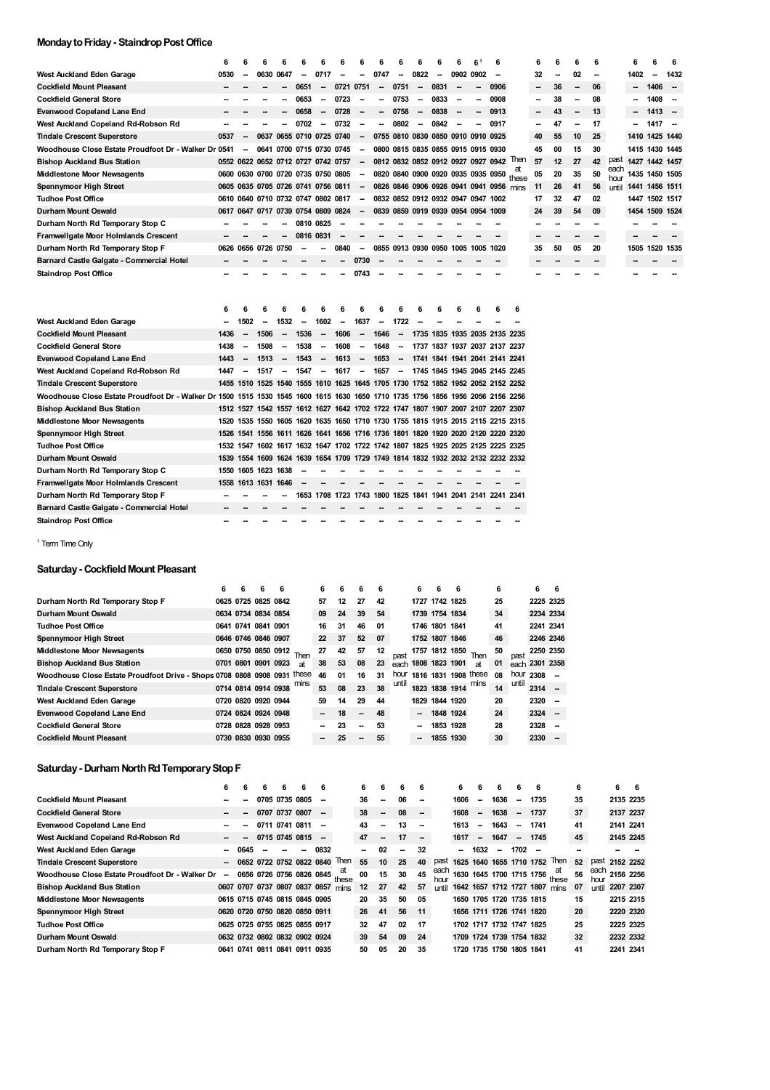## **Monday to Friday - Staindrop Post Office**

|                                                                                                                                 | 6    | 6                                  | 6                        | 6                             | 6                   | 6                        | 6         | 6                        | 6    | 6                        | 6                        | 6    | 6                                  | 61 | 6                                                                               |             | 6  | 6  | 6  | 6  |              | 6    | 6              | 6      |
|---------------------------------------------------------------------------------------------------------------------------------|------|------------------------------------|--------------------------|-------------------------------|---------------------|--------------------------|-----------|--------------------------|------|--------------------------|--------------------------|------|------------------------------------|----|---------------------------------------------------------------------------------|-------------|----|----|----|----|--------------|------|----------------|--------|
| West Auckland Eden Garage                                                                                                       | 0530 |                                    | 0630                     | 0647                          |                     | 0717                     |           |                          | 0747 | --                       | 0822                     | --   | 0902 0902                          |    |                                                                                 |             | 32 |    | 02 | -- |              | 1402 |                | 1432   |
| <b>Cockfield Mount Pleasant</b>                                                                                                 |      |                                    |                          |                               | 0651                | --                       | 0721 0751 |                          | --   | 0751                     | $\overline{\phantom{a}}$ | 0831 |                                    |    | 0906                                                                            |             |    | 36 | -- | 06 |              |      | 1406           | $\sim$ |
| Cockfield General Store                                                                                                         |      |                                    |                          |                               | 0653                | -                        | 0723      |                          |      | 0753                     | --                       | 0833 |                                    |    | 0908                                                                            |             |    | 38 |    | 08 |              |      | 1408           | $\sim$ |
| Evenwood Copeland Lane End                                                                                                      |      |                                    |                          |                               | 0658                | --                       | 0728      |                          | -    | 0758                     | --                       | 0838 |                                    | -- | 0913                                                                            |             |    | 43 | -- | 13 |              |      | 1413           | - -    |
| West Auckland Copeland Rd-Robson Rd                                                                                             |      |                                    |                          |                               | 0702                | $\overline{\phantom{a}}$ | 0732      |                          |      | 0802                     |                          | 0842 |                                    |    | 0917                                                                            |             |    | 47 |    | 17 |              | --   | 1417           |        |
| <b>Tindale Crescent Superstore</b>                                                                                              | 0537 | --                                 | 0637                     |                               | 0655 0710 0725 0740 |                          |           | --                       |      |                          |                          |      | 0755 0810 0830 0850 0910 0910 0925 |    |                                                                                 |             | 40 | 55 | 10 | 25 |              |      | 1410 1425 1440 |        |
| Woodhouse Close Estate Proudfoot Dr - Walker Dr 0541                                                                            |      | $\sim$                             |                          | 0641 0700 0715 0730 0745      |                     |                          |           |                          |      |                          |                          |      | 0800 0815 0835 0855 0915 0915 0930 |    |                                                                                 |             | 45 | 00 | 15 | 30 |              |      | 1415 1430 1445 |        |
| Bishop Auckland Bus Station                                                                                                     |      | 0552 0622 0652 0712 0727 0742 0757 |                          |                               |                     |                          |           |                          |      |                          |                          |      |                                    |    | 0812 0832 0852 0912 0927 0927 0942                                              | <b>Then</b> | 57 | 12 | 27 | 42 | past         |      | 1427 1442 1457 |        |
| Middlestone Moor Newsagents                                                                                                     |      | 0600 0630 0700 0720 0735 0750 0805 |                          |                               |                     |                          |           | $\sim$                   |      |                          |                          |      | 0820 0840 0900 0920 0935 0935 0950 |    |                                                                                 | at<br>these | 05 | 20 | 35 | 50 | each<br>hour |      | 1435 1450 1505 |        |
| Spennymoor High Street                                                                                                          |      | 0605 0635 0705 0726 0741 0756 0811 |                          |                               |                     |                          |           | $\overline{\phantom{a}}$ |      |                          |                          |      | 0826 0846 0906 0926 0941 0941 0956 |    |                                                                                 | mins        | 11 | 26 | 41 | 56 | until        |      | 1441 1456 1511 |        |
| Tudhoe Post Office                                                                                                              |      | 0610 0640 0710 0732 0747 0802 0817 |                          |                               |                     |                          |           |                          |      |                          |                          |      | 0832 0852 0912 0932 0947 0947 1002 |    |                                                                                 |             | 17 | 32 | 47 | 02 |              |      | 1447 1502 1517 |        |
| Durham Mount Oswald                                                                                                             | 0617 |                                    |                          | 0647 0717 0739 0754 0809 0824 |                     |                          |           | --                       |      |                          |                          |      | 0839 0859 0919 0939 0954 0954 1009 |    |                                                                                 |             | 24 | 39 | 54 | 09 |              |      | 1454 1509 1524 |        |
| Durham North Rd Temporary Stop C                                                                                                |      |                                    |                          |                               | 0810 0825           |                          |           |                          |      |                          |                          |      |                                    |    |                                                                                 |             |    |    |    | -- |              |      |                |        |
| Framwellgate Moor Holmlands Crescent                                                                                            |      |                                    |                          |                               | 0816                | 0831                     |           |                          |      |                          |                          |      |                                    |    |                                                                                 |             |    |    |    | -- |              |      |                |        |
| Durham North Rd Temporary Stop F                                                                                                | 0626 | 0656                               | 0726                     | 0750                          |                     |                          | 0840      | --                       | 0855 |                          |                          |      | 0913 0930 0950 1005 1005 1020      |    |                                                                                 |             | 35 | 50 | 05 | 20 |              | 1505 | 1520           | 1535   |
| Barnard Castle Galgate - Commercial Hotel                                                                                       |      |                                    |                          |                               |                     |                          |           | 0730                     |      |                          |                          |      |                                    |    |                                                                                 |             |    |    |    |    |              |      |                |        |
| <b>Staindrop Post Office</b>                                                                                                    |      |                                    |                          |                               |                     |                          |           | 0743                     |      |                          |                          |      |                                    |    |                                                                                 |             |    |    |    |    |              |      |                |        |
|                                                                                                                                 | 6    | 6                                  |                          |                               |                     |                          |           |                          |      |                          |                          |      | 6                                  | 6  | 6                                                                               | 6           |    |    |    |    |              |      |                |        |
| West Auckland Eden Garage                                                                                                       |      | 1502                               | $\overline{\phantom{a}}$ | 1532                          | $\sim$              | 1602                     | $\sim$    | 1637                     |      | 1722                     |                          |      |                                    |    |                                                                                 |             |    |    |    |    |              |      |                |        |
| Cockfield Mount Pleasant                                                                                                        | 1436 |                                    | 1506                     |                               | 1536                | $\overline{\phantom{a}}$ | 1606      | $\overline{\phantom{a}}$ | 1646 | $\overline{\phantom{a}}$ |                          |      |                                    |    | 1735 1835 1935 2035 2135 2235                                                   |             |    |    |    |    |              |      |                |        |
| Cockfield General Store                                                                                                         | 1438 |                                    | 1508                     | -                             | 1538                | --                       | 1608      | -                        | 1648 | $\overline{\phantom{a}}$ |                          |      |                                    |    | 1737 1837 1937 2037 2137 2237                                                   |             |    |    |    |    |              |      |                |        |
| Evenwood Copeland Lane End                                                                                                      | 1443 | $\overline{\phantom{a}}$           | 1513                     | $\overline{\phantom{a}}$      | 1543                | $\sim$                   | 1613      | $\overline{\phantom{a}}$ | 1653 | $\sim$                   |                          |      |                                    |    | 1741 1841 1941 2041 2141 2241                                                   |             |    |    |    |    |              |      |                |        |
| West Auckland Copeland Rd-Robson Rd                                                                                             | 1447 | $\overline{\phantom{a}}$           | 1517                     | $\overline{\phantom{a}}$      | 1547                | $\overline{\phantom{a}}$ | 1617      | $\overline{\phantom{a}}$ | 1657 | $\overline{\phantom{a}}$ |                          |      |                                    |    | 1745 1845 1945 2045 2145 2245                                                   |             |    |    |    |    |              |      |                |        |
| Tindale Crescent Superstore                                                                                                     |      |                                    |                          |                               |                     |                          |           |                          |      |                          |                          |      |                                    |    | 1455 1510 1525 1540 1555 1610 1625 1645 1705 1730 1752 1852 1952 2052 2152 2252 |             |    |    |    |    |              |      |                |        |
| Woodhouse Close Estate Proudfoot Dr - Walker Dr 1500 1515 1530 1545 1600 1615 1630 1650 1710 1735 1756 1856 1956 2056 2156 2256 |      |                                    |                          |                               |                     |                          |           |                          |      |                          |                          |      |                                    |    |                                                                                 |             |    |    |    |    |              |      |                |        |
| Bishop Auckland Bus Station                                                                                                     |      |                                    |                          |                               |                     |                          |           |                          |      |                          |                          |      |                                    |    | 1512 1527 1542 1557 1612 1627 1642 1702 1722 1747 1807 1907 2007 2107 2207 2307 |             |    |    |    |    |              |      |                |        |
| Middlestone Moor Newsagents                                                                                                     |      |                                    |                          |                               |                     |                          |           |                          |      |                          |                          |      |                                    |    | 1520 1535 1550 1605 1620 1635 1650 1710 1730 1755 1815 1915 2015 2115 2215 2315 |             |    |    |    |    |              |      |                |        |
| Spennymoor High Street                                                                                                          |      |                                    |                          |                               |                     |                          |           |                          |      |                          |                          |      |                                    |    | 1526 1541 1556 1611 1626 1641 1656 1716 1736 1801 1820 1920 2020 2120 2220 2320 |             |    |    |    |    |              |      |                |        |
| <b>Tudhoe Post Office</b>                                                                                                       |      |                                    |                          |                               |                     |                          |           |                          |      |                          |                          |      |                                    |    | 1532 1547 1602 1617 1632 1647 1702 1722 1742 1807 1825 1925 2025 2125 2225 2325 |             |    |    |    |    |              |      |                |        |
| Durham Mount Oswald                                                                                                             |      |                                    |                          |                               |                     |                          |           |                          |      |                          |                          |      |                                    |    | 1539 1554 1609 1624 1639 1654 1709 1729 1749 1814 1832 1932 2032 2132 2232 2332 |             |    |    |    |    |              |      |                |        |
| Durham North Rd Temporary Stop C                                                                                                |      | 1550 1605 1623 1638                |                          |                               |                     |                          |           |                          |      |                          |                          |      |                                    |    |                                                                                 |             |    |    |    |    |              |      |                |        |
| Framwellgate Moor Holmlands Crescent                                                                                            | 1558 |                                    | 1613 1631 1646           |                               |                     |                          |           |                          |      |                          |                          |      |                                    |    |                                                                                 |             |    |    |    |    |              |      |                |        |
| Durham North Rd Temporary Stop F                                                                                                |      |                                    |                          |                               |                     |                          |           |                          |      |                          |                          |      |                                    |    | 1653 1708 1723 1743 1800 1825 1841 1941 2041 2141 2241 2341                     |             |    |    |    |    |              |      |                |        |
| Barnard Castle Galgate - Commercial Hotel                                                                                       |      |                                    |                          |                               |                     |                          |           |                          |      |                          |                          |      |                                    |    |                                                                                 |             |    |    |    |    |              |      |                |        |
| Staindrop Post Office                                                                                                           |      |                                    |                          |                               |                     |                          |           |                          |      |                          |                          |      |                                    |    |                                                                                 |             |    |    |    |    |              |      |                |        |

<sup>1</sup> Term Time Only

## **Saturday- CockfieldMount Pleasant**

|                                                                          | 6 | 6                   | 6 | 6 |      | 6      | 6  | 6                        | 6  |       | 6                        | 6              | 6 |                      | 6  |       | 6         | 6      |
|--------------------------------------------------------------------------|---|---------------------|---|---|------|--------|----|--------------------------|----|-------|--------------------------|----------------|---|----------------------|----|-------|-----------|--------|
| Durham North Rd Temporary Stop F                                         |   | 0625 0725 0825 0842 |   |   |      | 57     | 12 | 27                       | 42 |       |                          | 1727 1742 1825 |   |                      | 25 |       | 2225 2325 |        |
| Durham Mount Oswald                                                      |   | 0634 0734 0834 0854 |   |   |      | 09     | 24 | 39                       | 54 |       |                          | 1739 1754 1834 |   |                      | 34 |       | 2234 2334 |        |
| <b>Tudhoe Post Office</b>                                                |   | 0641 0741 0841 0901 |   |   |      | 16     | 31 | 46                       | 01 |       |                          | 1746 1801 1841 |   |                      | 41 |       | 2241 2341 |        |
| Spennymoor High Street                                                   |   | 0646 0746 0846 0907 |   |   |      | 22     | 37 | 52                       | 07 |       |                          | 1752 1807 1846 |   |                      | 46 |       | 2246 2346 |        |
| <b>Middlestone Moor Newsagents</b>                                       |   | 0650 0750 0850 0912 |   |   | Then | 27     | 42 | 57                       | 12 | past  |                          | 1757 1812 1850 |   | Then                 | 50 | past  | 2250 2350 |        |
| <b>Bishop Auckland Bus Station</b>                                       |   | 0701 0801 0901 0923 |   |   | at   | 38     | 53 | 08                       | 23 | each  |                          | 1808 1823 1901 |   | at                   | 01 | each  | 2301 2358 |        |
| Woodhouse Close Estate Proudfoot Drive - Shops 0708 0808 0908 0931 these |   |                     |   |   |      | 46     | 01 | 16                       | 31 | hour  |                          |                |   | 1816 1831 1908 these | 08 | hour  | 2308      |        |
| <b>Tindale Crescent Superstore</b>                                       |   | 0714 0814 0914 0938 |   |   | mins | 53     | 08 | 23                       | 38 | until |                          |                |   | 1823 1838 1914 mins  | 14 | until | $2314 -$  |        |
| West Auckland Eden Garage                                                |   | 0720 0820 0920 0944 |   |   |      | 59     | 14 | 29                       | 44 |       |                          | 1829 1844 1920 |   |                      | 20 |       | 2320      | --     |
| <b>Evenwood Copeland Lane End</b>                                        |   | 0724 0824 0924 0948 |   |   |      | -      | 18 | $\overline{\phantom{a}}$ | 48 |       | --                       | 1848 1924      |   |                      | 24 |       | 2324      | --     |
| <b>Cockfield General Store</b>                                           |   | 0728 0828 0928 0953 |   |   |      | $\sim$ | 23 | -                        | 53 |       | --                       | 1853 1928      |   |                      | 28 |       | 2328      | $\sim$ |
| <b>Cockfield Mount Pleasant</b>                                          |   | 0730 0830 0930 0955 |   |   |      |        | 25 | --                       | 55 |       | $\overline{\phantom{a}}$ | 1855 1930      |   |                      | 30 |       | 2330      | --     |

# Saturday - Durham North Rd Temporary Stop F

|                                                 | 6                        | 6                   | 6 | 6              | 6                             | 6                                  |             | 6  | 6                        | 6  | 6                        |              | 6                        | 6                        | 6                        | 6                        | 6                             |             | 6  |              | 6         | 6 |
|-------------------------------------------------|--------------------------|---------------------|---|----------------|-------------------------------|------------------------------------|-------------|----|--------------------------|----|--------------------------|--------------|--------------------------|--------------------------|--------------------------|--------------------------|-------------------------------|-------------|----|--------------|-----------|---|
| <b>Cockfield Mount Pleasant</b>                 |                          |                     |   |                | 0705 0735 0805                | --                                 |             | 36 | $\sim$                   | 06 | --                       |              | 1606                     | -                        | 1636                     | $\overline{\phantom{a}}$ | 1735                          |             | 35 |              | 2135 2235 |   |
| <b>Cockfield General Store</b>                  |                          |                     |   | 0707 0737 0807 |                               | --                                 |             | 38 | -                        | 08 | $\overline{\phantom{a}}$ |              | 1608                     | --                       | 1638                     | $\overline{\phantom{a}}$ | 1737                          |             | 37 |              | 2137 2237 |   |
| <b>Evenwood Copeland Lane End</b>               |                          |                     |   |                | 0711 0741 0811                | --                                 |             | 43 | --                       | 13 | $\overline{\phantom{a}}$ |              | 1613                     | $\overline{\phantom{a}}$ | 1643                     | $\overline{\phantom{a}}$ | 1741                          |             | 41 |              | 2141 2241 |   |
| West Auckland Copeland Rd-Robson Rd             |                          |                     |   |                | 0715 0745 0815                | --                                 |             | 47 | $\overline{\phantom{a}}$ | 17 | $\overline{\phantom{a}}$ |              | 1617                     | $\overline{\phantom{a}}$ | 1647                     | $\overline{\phantom{a}}$ | 1745                          |             | 45 |              | 2145 2245 |   |
| West Auckland Eden Garage                       |                          | 0645                |   |                |                               | 0832                               |             |    | 02                       | -  | 32                       |              |                          | 1632                     | $\overline{\phantom{a}}$ | 1702                     | $\overline{\phantom{a}}$      |             |    |              |           |   |
| <b>Tindale Crescent Superstore</b>              | $\overline{\phantom{a}}$ |                     |   |                | 0652 0722 0752 0822 0840      |                                    | <b>Then</b> | 55 | 10                       | 25 | 40                       | past         | 1625 1640 1655 1710 1752 |                          |                          |                          |                               | <b>Then</b> | 52 | past         | 2152 2252 |   |
| Woodhouse Close Estate Proudfoot Dr - Walker Dr | $\overline{\phantom{a}}$ |                     |   |                |                               | 0656 0726 0756 0826 0845           | at<br>these | 00 | 15                       | 30 | 45                       | each<br>hour |                          |                          |                          |                          | 1630 1645 1700 1715 1756      | at<br>these | 56 | each<br>hour | 2156 2256 |   |
| <b>Bishop Auckland Bus Station</b>              |                          |                     |   |                |                               | 0607 0707 0737 0807 0837 0857 mins |             | 12 | 27                       | 42 | 57                       | until        |                          |                          |                          |                          | 1642 1657 1712 1727 1807 mins |             | 07 | until        | 2207 2307 |   |
| <b>Middlestone Moor Newsagents</b>              |                          |                     |   |                | 0615 0715 0745 0815 0845 0905 |                                    |             | 20 | 35                       | 50 | 05                       |              |                          |                          | 1650 1705 1720 1735 1815 |                          |                               |             | 15 |              | 2215 2315 |   |
| Spennymoor High Street                          |                          |                     |   |                | 0620 0720 0750 0820 0850 0911 |                                    |             | 26 | 41                       | 56 | 11                       |              | 1656 1711 1726 1741 1820 |                          |                          |                          |                               |             | 20 |              | 2220 2320 |   |
| <b>Tudhoe Post Office</b>                       |                          |                     |   |                | 0625 0725 0755 0825 0855 0917 |                                    |             | 32 | 47                       | 02 | 17                       |              |                          |                          | 1702 1717 1732 1747 1825 |                          |                               |             | 25 |              | 2225 2325 |   |
| <b>Durham Mount Oswald</b>                      |                          |                     |   |                | 0632 0732 0802 0832 0902 0924 |                                    |             | 39 | 54                       | 09 | 24                       |              | 1709 1724 1739 1754 1832 |                          |                          |                          |                               |             | 32 |              | 2232 2332 |   |
| Durham North Rd Temporary Stop F                |                          | 0641 0741 0811 0841 |   |                | 0911 0935                     |                                    |             | 50 | 05                       | 20 | 35                       |              |                          |                          | 1720 1735 1750 1805 1841 |                          |                               |             | 41 |              | 2241 2341 |   |